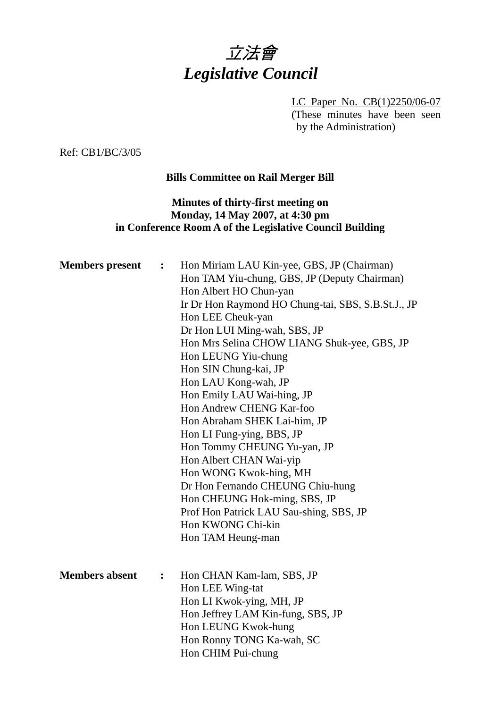

LC Paper No. CB(1)2250/06-07 (These minutes have been seen by the Administration)

Ref: CB1/BC/3/05

## **Bills Committee on Rail Merger Bill**

### **Minutes of thirty-first meeting on Monday, 14 May 2007, at 4:30 pm in Conference Room A of the Legislative Council Building**

| <b>Members</b> present | $\ddot{\cdot}$ | Hon Miriam LAU Kin-yee, GBS, JP (Chairman)<br>Hon TAM Yiu-chung, GBS, JP (Deputy Chairman)<br>Hon Albert HO Chun-yan<br>Ir Dr Hon Raymond HO Chung-tai, SBS, S.B.St.J., JP<br>Hon LEE Cheuk-yan<br>Dr Hon LUI Ming-wah, SBS, JP<br>Hon Mrs Selina CHOW LIANG Shuk-yee, GBS, JP<br>Hon LEUNG Yiu-chung<br>Hon SIN Chung-kai, JP<br>Hon LAU Kong-wah, JP<br>Hon Emily LAU Wai-hing, JP<br>Hon Andrew CHENG Kar-foo<br>Hon Abraham SHEK Lai-him, JP<br>Hon LI Fung-ying, BBS, JP<br>Hon Tommy CHEUNG Yu-yan, JP<br>Hon Albert CHAN Wai-yip<br>Hon WONG Kwok-hing, MH<br>Dr Hon Fernando CHEUNG Chiu-hung<br>Hon CHEUNG Hok-ming, SBS, JP<br>Prof Hon Patrick LAU Sau-shing, SBS, JP<br>Hon KWONG Chi-kin<br>Hon TAM Heung-man |
|------------------------|----------------|----------------------------------------------------------------------------------------------------------------------------------------------------------------------------------------------------------------------------------------------------------------------------------------------------------------------------------------------------------------------------------------------------------------------------------------------------------------------------------------------------------------------------------------------------------------------------------------------------------------------------------------------------------------------------------------------------------------------------|
| <b>Members absent</b>  | $\ddot{\cdot}$ | Hon CHAN Kam-lam, SBS, JP<br>Hon LEE Wing-tat<br>Hon LI Kwok-ying, MH, JP<br>Hon Jeffrey LAM Kin-fung, SBS, JP<br>Hon LEUNG Kwok-hung<br>Hon Ronny TONG Ka-wah, SC<br>Hon CHIM Pui-chung                                                                                                                                                                                                                                                                                                                                                                                                                                                                                                                                   |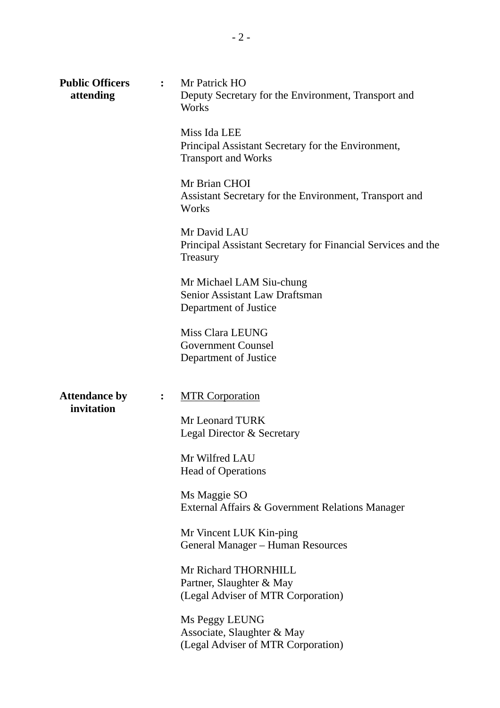| <b>Public Officers</b><br>$\mathbf{L}$<br>attending |                  | Mr Patrick HO<br>Deputy Secretary for the Environment, Transport and<br>Works                    |  |
|-----------------------------------------------------|------------------|--------------------------------------------------------------------------------------------------|--|
|                                                     |                  | Miss Ida LEE<br>Principal Assistant Secretary for the Environment,<br><b>Transport and Works</b> |  |
|                                                     |                  | Mr Brian CHOI<br>Assistant Secretary for the Environment, Transport and<br>Works                 |  |
|                                                     |                  | Mr David LAU<br>Principal Assistant Secretary for Financial Services and the<br>Treasury         |  |
|                                                     |                  | Mr Michael LAM Siu-chung<br>Senior Assistant Law Draftsman<br>Department of Justice              |  |
|                                                     |                  | Miss Clara LEUNG<br><b>Government Counsel</b><br>Department of Justice                           |  |
| <b>Attendance by</b><br>invitation                  | $\ddot{\bullet}$ | <b>MTR Corporation</b>                                                                           |  |
|                                                     |                  | Mr Leonard TURK<br>Legal Director & Secretary                                                    |  |
|                                                     |                  | Mr Wilfred LAU<br><b>Head of Operations</b>                                                      |  |
|                                                     |                  | Ms Maggie SO<br>External Affairs & Government Relations Manager                                  |  |
|                                                     |                  | Mr Vincent LUK Kin-ping<br>General Manager - Human Resources                                     |  |
|                                                     |                  | Mr Richard THORNHILL<br>Partner, Slaughter & May<br>(Legal Adviser of MTR Corporation)           |  |
|                                                     |                  | Ms Peggy LEUNG<br>Associate, Slaughter & May<br>(Legal Adviser of MTR Corporation)               |  |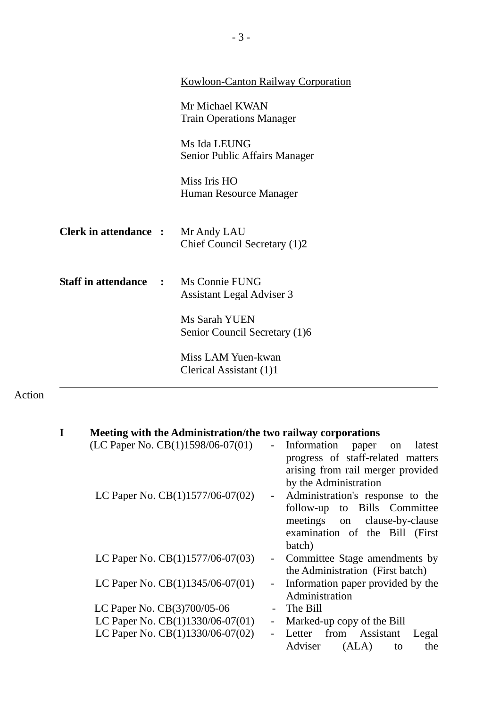|                                             | <b>Kowloon-Canton Railway Corporation</b>          |
|---------------------------------------------|----------------------------------------------------|
|                                             | Mr Michael KWAN<br><b>Train Operations Manager</b> |
|                                             | Ms Ida LEUNG<br>Senior Public Affairs Manager      |
|                                             | Miss Iris HO<br>Human Resource Manager             |
| <b>Clerk in attendance :</b>                | Mr Andy LAU<br>Chief Council Secretary (1)2        |
| <b>Staff in attendance : Ms Connie FUNG</b> | <b>Assistant Legal Adviser 3</b>                   |
|                                             | Ms Sarah YUEN<br>Senior Council Secretary (1)6     |
|                                             | Miss LAM Yuen-kwan<br>Clerical Assistant (1)1      |

# Action

| Meeting with the Administration/the two railway corporations |                |                                      |
|--------------------------------------------------------------|----------------|--------------------------------------|
| (LC Paper No. CB(1)1598/06-07(01)                            | $\equiv$       | Information<br>latest<br>paper<br>on |
|                                                              |                | progress of staff-related matters    |
|                                                              |                | arising from rail merger provided    |
|                                                              |                | by the Administration                |
| LC Paper No. CB(1)1577/06-07(02)                             | $\blacksquare$ | Administration's response to the     |
|                                                              |                | follow-up to Bills Committee         |
|                                                              |                | meetings on clause-by-clause         |
|                                                              |                | examination of the Bill (First       |
|                                                              |                | batch)                               |
| LC Paper No. $CB(1)1577/06-07(03)$                           | $\sim$         | Committee Stage amendments by        |
|                                                              |                | the Administration (First batch)     |
| LC Paper No. $CB(1)1345/06-07(01)$                           | $\sim$         | Information paper provided by the    |
|                                                              |                | Administration                       |
| LC Paper No. CB(3)700/05-06                                  |                | The Bill                             |
| LC Paper No. CB(1)1330/06-07(01)                             |                | Marked-up copy of the Bill           |
| LC Paper No. CB(1)1330/06-07(02)                             |                | from Assistant<br>Letter<br>Legal    |
|                                                              |                | Adviser<br>(ALA)<br>the<br>to        |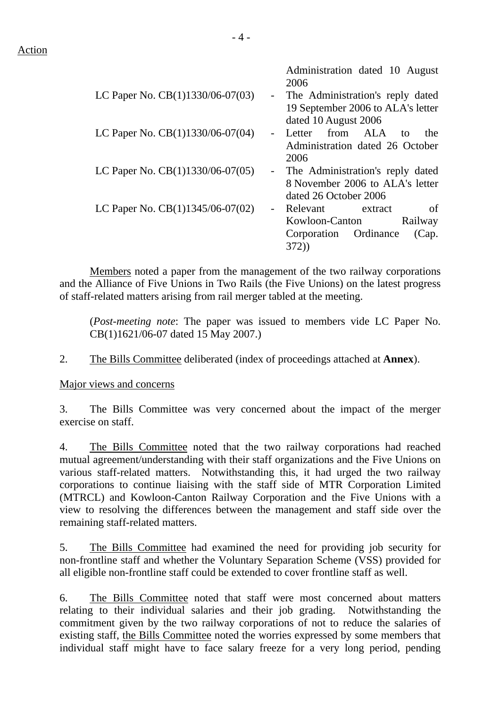Action

|                                    | Administration dated 10 August<br>2006                                                          |
|------------------------------------|-------------------------------------------------------------------------------------------------|
| LC Paper No. CB(1)1330/06-07(03)   | - The Administration's reply dated<br>19 September 2006 to ALA's letter<br>dated 10 August 2006 |
| LC Paper No. CB(1)1330/06-07(04)   | from ALA<br>Letter<br>the<br>to<br>Administration dated 26 October<br>2006                      |
| LC Paper No. CB(1)1330/06-07(05)   | - The Administration's reply dated<br>8 November 2006 to ALA's letter<br>dated 26 October 2006  |
| LC Paper No. $CB(1)1345/06-07(02)$ | - Relevant extract<br>of<br>Kowloon-Canton<br>Railway<br>Corporation Ordinance<br>(Cap.<br>372) |

 Members noted a paper from the management of the two railway corporations and the Alliance of Five Unions in Two Rails (the Five Unions) on the latest progress of staff-related matters arising from rail merger tabled at the meeting.

(*Post-meeting note*: The paper was issued to members vide LC Paper No. CB(1)1621/06-07 dated 15 May 2007.)

2. The Bills Committee deliberated (index of proceedings attached at **Annex**).

Major views and concerns

3. The Bills Committee was very concerned about the impact of the merger exercise on staff.

4. The Bills Committee noted that the two railway corporations had reached mutual agreement/understanding with their staff organizations and the Five Unions on various staff-related matters. Notwithstanding this, it had urged the two railway corporations to continue liaising with the staff side of MTR Corporation Limited (MTRCL) and Kowloon-Canton Railway Corporation and the Five Unions with a view to resolving the differences between the management and staff side over the remaining staff-related matters.

5. The Bills Committee had examined the need for providing job security for non-frontline staff and whether the Voluntary Separation Scheme (VSS) provided for all eligible non-frontline staff could be extended to cover frontline staff as well.

6. The Bills Committee noted that staff were most concerned about matters relating to their individual salaries and their job grading. Notwithstanding the commitment given by the two railway corporations of not to reduce the salaries of existing staff, the Bills Committee noted the worries expressed by some members that individual staff might have to face salary freeze for a very long period, pending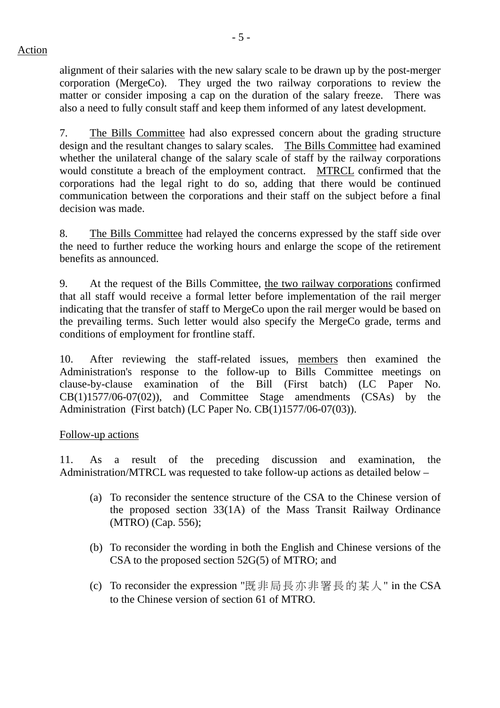- 5 -

alignment of their salaries with the new salary scale to be drawn up by the post-merger corporation (MergeCo). They urged the two railway corporations to review the matter or consider imposing a cap on the duration of the salary freeze. There was also a need to fully consult staff and keep them informed of any latest development.

7. The Bills Committee had also expressed concern about the grading structure design and the resultant changes to salary scales. The Bills Committee had examined whether the unilateral change of the salary scale of staff by the railway corporations would constitute a breach of the employment contract. MTRCL confirmed that the corporations had the legal right to do so, adding that there would be continued communication between the corporations and their staff on the subject before a final decision was made.

8. The Bills Committee had relayed the concerns expressed by the staff side over the need to further reduce the working hours and enlarge the scope of the retirement benefits as announced.

9. At the request of the Bills Committee, the two railway corporations confirmed that all staff would receive a formal letter before implementation of the rail merger indicating that the transfer of staff to MergeCo upon the rail merger would be based on the prevailing terms. Such letter would also specify the MergeCo grade, terms and conditions of employment for frontline staff.

10. After reviewing the staff-related issues, members then examined the Administration's response to the follow-up to Bills Committee meetings on clause-by-clause examination of the Bill (First batch) (LC Paper No.  $CB(1)1577/06-07(02)$ , and Committee Stage amendments  $(CSAs)$  by the Administration (First batch) (LC Paper No. CB(1)1577/06-07(03)).

Follow-up actions

11. As a result of the preceding discussion and examination, the Administration/MTRCL was requested to take follow-up actions as detailed below –

- (a) To reconsider the sentence structure of the CSA to the Chinese version of the proposed section 33(1A) of the Mass Transit Railway Ordinance (MTRO) (Cap. 556);
- (b) To reconsider the wording in both the English and Chinese versions of the CSA to the proposed section 52G(5) of MTRO; and
- (c) To reconsider the expression "既非局長亦非署長的某人" in the CSA to the Chinese version of section 61 of MTRO.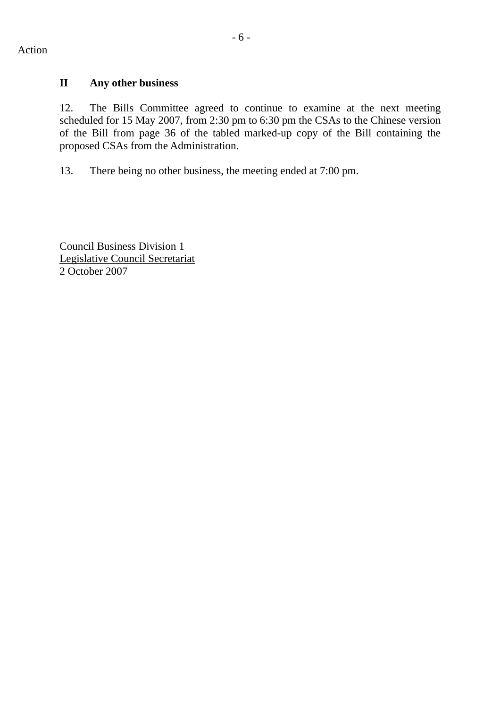## **II Any other business**

12. The Bills Committee agreed to continue to examine at the next meeting scheduled for 15 May 2007, from 2:30 pm to 6:30 pm the CSAs to the Chinese version of the Bill from page 36 of the tabled marked-up copy of the Bill containing the proposed CSAs from the Administration.

13. There being no other business, the meeting ended at 7:00 pm.

Council Business Division 1 Legislative Council Secretariat 2 October 2007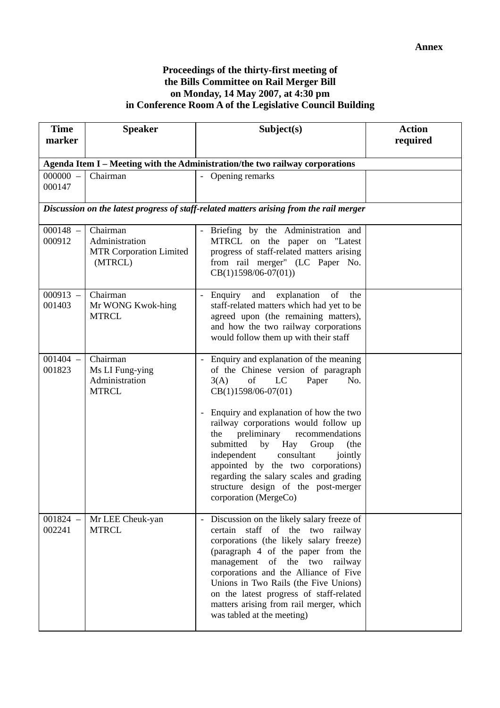#### **Proceedings of the thirty-first meeting of the Bills Committee on Rail Merger Bill on Monday, 14 May 2007, at 4:30 pm in Conference Room A of the Legislative Council Building**

| <b>Time</b>                                                                  | <b>Speaker</b>                                                          | Subject(s)                                                                                                                                                                                                                                                                                                                                                                                                                                                                                                | <b>Action</b> |  |  |
|------------------------------------------------------------------------------|-------------------------------------------------------------------------|-----------------------------------------------------------------------------------------------------------------------------------------------------------------------------------------------------------------------------------------------------------------------------------------------------------------------------------------------------------------------------------------------------------------------------------------------------------------------------------------------------------|---------------|--|--|
| marker                                                                       |                                                                         |                                                                                                                                                                                                                                                                                                                                                                                                                                                                                                           | required      |  |  |
| Agenda Item I - Meeting with the Administration/the two railway corporations |                                                                         |                                                                                                                                                                                                                                                                                                                                                                                                                                                                                                           |               |  |  |
| $000000 -$<br>000147                                                         | Chairman                                                                | - Opening remarks                                                                                                                                                                                                                                                                                                                                                                                                                                                                                         |               |  |  |
|                                                                              |                                                                         | Discussion on the latest progress of staff-related matters arising from the rail merger                                                                                                                                                                                                                                                                                                                                                                                                                   |               |  |  |
| $000148 -$<br>000912                                                         | Chairman<br>Administration<br><b>MTR Corporation Limited</b><br>(MTRCL) | - Briefing by the Administration and<br>MTRCL on the paper on "Latest<br>progress of staff-related matters arising<br>from rail merger" (LC Paper No.<br>$CB(1)1598/06-07(01))$                                                                                                                                                                                                                                                                                                                           |               |  |  |
| $000913 -$<br>001403                                                         | Chairman<br>Mr WONG Kwok-hing<br><b>MTRCL</b>                           | - Enquiry<br>and<br>explanation<br>of<br>the<br>staff-related matters which had yet to be<br>agreed upon (the remaining matters),<br>and how the two railway corporations<br>would follow them up with their staff                                                                                                                                                                                                                                                                                        |               |  |  |
| $001404 -$<br>001823                                                         | Chairman<br>Ms LI Fung-ying<br>Administration<br><b>MTRCL</b>           | Enquiry and explanation of the meaning<br>of the Chinese version of paragraph<br>of<br>LC<br>Paper<br>3(A)<br>No.<br>CB(1)1598/06-07(01)<br>- Enquiry and explanation of how the two<br>railway corporations would follow up<br>preliminary<br>recommendations<br>the<br>submitted<br>by<br>Hay<br>Group<br>(the<br>independent<br>consultant<br>jointly<br>appointed by the two corporations)<br>regarding the salary scales and grading<br>structure design of the post-merger<br>corporation (MergeCo) |               |  |  |
| $001824 -$<br>002241                                                         | Mr LEE Cheuk-yan<br><b>MTRCL</b>                                        | Discussion on the likely salary freeze of<br>certain<br>staff of the two railway<br>corporations (the likely salary freeze)<br>(paragraph 4 of the paper from the<br>of the two<br>management<br>railway<br>corporations and the Alliance of Five<br>Unions in Two Rails (the Five Unions)<br>on the latest progress of staff-related<br>matters arising from rail merger, which<br>was tabled at the meeting)                                                                                            |               |  |  |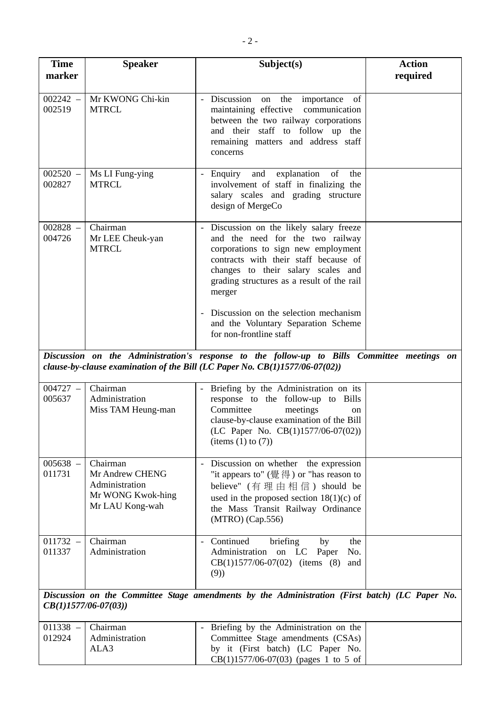| <b>Time</b><br>marker                                                                                                    | <b>Speaker</b>                                                                        | Subject(s)                                                                                                                                                                                                                                                                                                                                                          | <b>Action</b><br>required |
|--------------------------------------------------------------------------------------------------------------------------|---------------------------------------------------------------------------------------|---------------------------------------------------------------------------------------------------------------------------------------------------------------------------------------------------------------------------------------------------------------------------------------------------------------------------------------------------------------------|---------------------------|
| $002242 -$<br>002519                                                                                                     | Mr KWONG Chi-kin<br><b>MTRCL</b>                                                      | - Discussion on<br>the importance<br>of<br>maintaining effective communication<br>between the two railway corporations<br>and their staff to follow up the<br>remaining matters and address staff<br>concerns                                                                                                                                                       |                           |
| $002520 -$<br>002827                                                                                                     | Ms LI Fung-ying<br><b>MTRCL</b>                                                       | Enquiry and explanation of<br>the<br>involvement of staff in finalizing the<br>salary scales and grading structure<br>design of MergeCo                                                                                                                                                                                                                             |                           |
| $002828 -$<br>004726                                                                                                     | Chairman<br>Mr LEE Cheuk-yan<br><b>MTRCL</b>                                          | Discussion on the likely salary freeze<br>and the need for the two railway<br>corporations to sign new employment<br>contracts with their staff because of<br>changes to their salary scales and<br>grading structures as a result of the rail<br>merger<br>Discussion on the selection mechanism<br>and the Voluntary Separation Scheme<br>for non-frontline staff |                           |
|                                                                                                                          |                                                                                       | Discussion on the Administration's response to the follow-up to Bills Committee meetings on                                                                                                                                                                                                                                                                         |                           |
|                                                                                                                          |                                                                                       | clause-by-clause examination of the Bill (LC Paper No. $CB(1)1577/06-07(02))$                                                                                                                                                                                                                                                                                       |                           |
| $004727 -$<br>005637                                                                                                     | Chairman<br>Administration<br>Miss TAM Heung-man                                      | Briefing by the Administration on its<br>$\sim$ $-$<br>response to the follow-up to Bills<br>Committee<br>meetings<br>on<br>clause-by-clause examination of the Bill<br>(LC Paper No. CB(1)1577/06-07(02))<br>$\text{(items (1) to (7))}$                                                                                                                           |                           |
| $005638 -$<br>011731                                                                                                     | Chairman<br>Mr Andrew CHENG<br>Administration<br>Mr WONG Kwok-hing<br>Mr LAU Kong-wah | - Discussion on whether the expression<br>"it appears to" $(\frac{36}{16}, \frac{24}{16})$ or "has reason to<br>believe" (有理由相信) should be<br>used in the proposed section $18(1)(c)$ of<br>the Mass Transit Railway Ordinance<br>(MTRO) (Cap.556)                                                                                                                  |                           |
| $011732 -$<br>011337                                                                                                     | Chairman<br>Administration                                                            | Continued<br>briefing<br>by<br>the<br>$\sim$<br>Administration on LC Paper<br>No.<br>$CB(1)1577/06-07(02)$ (items (8)<br>and<br>(9)                                                                                                                                                                                                                                 |                           |
| Discussion on the Committee Stage amendments by the Administration (First batch) (LC Paper No.<br>$CB(1)1577/06-07(03))$ |                                                                                       |                                                                                                                                                                                                                                                                                                                                                                     |                           |
| $011338 -$                                                                                                               | Chairman                                                                              | Briefing by the Administration on the                                                                                                                                                                                                                                                                                                                               |                           |
| 012924                                                                                                                   | Administration<br>ALA3                                                                | Committee Stage amendments (CSAs)<br>by it (First batch) (LC Paper No.<br>$CB(1)1577/06-07(03)$ (pages 1 to 5 of                                                                                                                                                                                                                                                    |                           |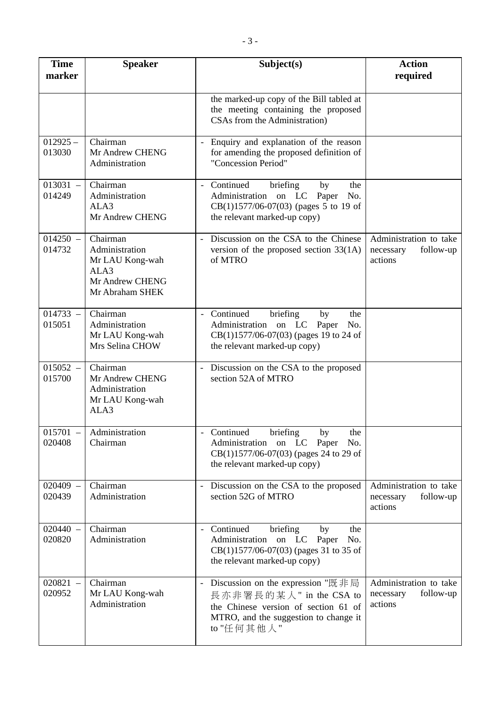| <b>Time</b><br>marker | <b>Speaker</b>                                                                              | Subject(s)                                                                                                                                                                              | <b>Action</b><br>required                                   |
|-----------------------|---------------------------------------------------------------------------------------------|-----------------------------------------------------------------------------------------------------------------------------------------------------------------------------------------|-------------------------------------------------------------|
|                       |                                                                                             | the marked-up copy of the Bill tabled at<br>the meeting containing the proposed<br>CSAs from the Administration)                                                                        |                                                             |
| $012925 -$<br>013030  | Chairman<br>Mr Andrew CHENG<br>Administration                                               | Enquiry and explanation of the reason<br>for amending the proposed definition of<br>"Concession Period"                                                                                 |                                                             |
| $013031 -$<br>014249  | Chairman<br>Administration<br>ALA3<br>Mr Andrew CHENG                                       | Continued<br>briefing<br>the<br>by<br>Administration on LC Paper<br>No.<br>$CB(1)1577/06-07(03)$ (pages 5 to 19 of<br>the relevant marked-up copy)                                      |                                                             |
| $014250 -$<br>014732  | Chairman<br>Administration<br>Mr LAU Kong-wah<br>ALA3<br>Mr Andrew CHENG<br>Mr Abraham SHEK | Discussion on the CSA to the Chinese<br>$\mathcal{L}^{\pm}$<br>version of the proposed section $33(1A)$<br>of MTRO                                                                      | Administration to take<br>necessary<br>follow-up<br>actions |
| $014733 -$<br>015051  | Chairman<br>Administration<br>Mr LAU Kong-wah<br>Mrs Selina CHOW                            | - Continued<br>briefing<br>by<br>the<br>Administration on LC Paper<br>No.<br>CB(1)1577/06-07(03) (pages 19 to 24 of<br>the relevant marked-up copy)                                     |                                                             |
| $015052 -$<br>015700  | Chairman<br>Mr Andrew CHENG<br>Administration<br>Mr LAU Kong-wah<br>ALA3                    | - Discussion on the CSA to the proposed<br>section 52A of MTRO                                                                                                                          |                                                             |
| 015701<br>020408      | Administration<br>Chairman                                                                  | Continued briefing<br>the<br>$-$ by<br>Administration on LC Paper<br>No.<br>CB(1)1577/06-07(03) (pages 24 to 29 of<br>the relevant marked-up copy)                                      |                                                             |
| $020409 -$<br>020439  | Chairman<br>Administration                                                                  | Discussion on the CSA to the proposed<br>$\sim$<br>section 52G of MTRO                                                                                                                  | Administration to take<br>follow-up<br>necessary<br>actions |
| $020440 -$<br>020820  | Chairman<br>Administration                                                                  | Continued<br>briefing<br>by<br>the<br>Administration<br>on LC Paper<br>No.<br>CB(1)1577/06-07(03) (pages 31 to 35 of<br>the relevant marked-up copy)                                    |                                                             |
| $020821 -$<br>020952  | Chairman<br>Mr LAU Kong-wah<br>Administration                                               | Discussion on the expression "既非局<br>$\overline{\phantom{a}}$<br>長亦非署長的某人" in the CSA to<br>the Chinese version of section 61 of<br>MTRO, and the suggestion to change it<br>to "任何其他人" | Administration to take<br>follow-up<br>necessary<br>actions |